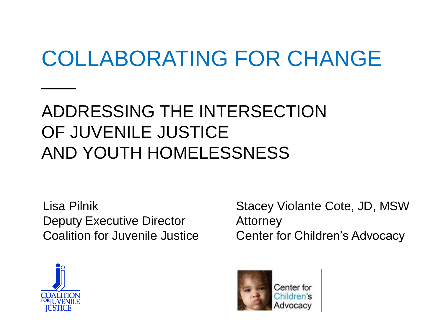### COLLABORATING FOR CHANGE

### ADDRESSING THE INTERSECTION OF JUVENILE JUSTICE AND YOUTH HOMELESSNESS

Lisa Pilnik Deputy Executive Director Coalition for Juvenile Justice

Stacey Violante Cote, JD, MSW Attorney Center for Children's Advocacy



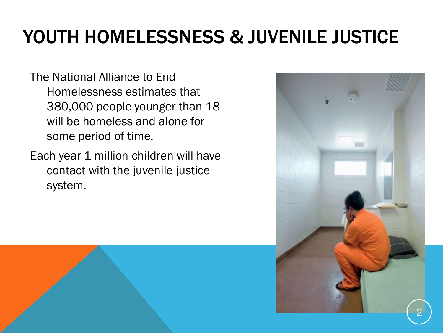### YOUTH HOMELESSNESS & JUVENILE JUSTICE

The National Alliance to End Homelessness estimates that 380,000 people younger than 18 will be homeless and alone for some period of time.

Each year 1 million children will have contact with the juvenile justice system.

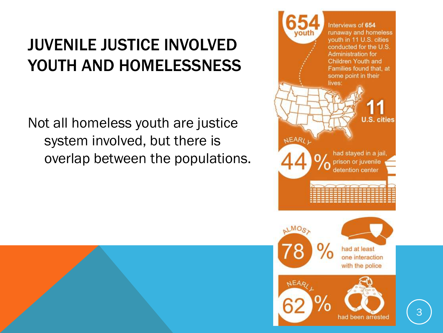### JUVENILE JUSTICE INVOLVED YOUTH AND HOMELESSNESS

Not all homeless youth are justice system involved, but there is overlap between the populations.



had been arrested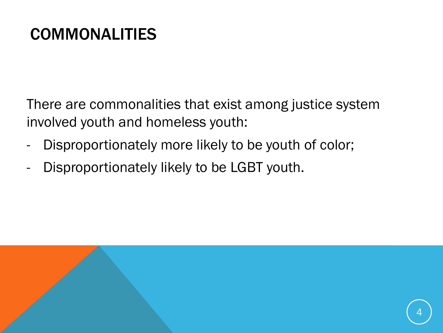### COMMONALITIES

There are commonalities that exist among justice system involved youth and homeless youth:

- Disproportionately more likely to be youth of color;
- Disproportionately likely to be LGBT youth.

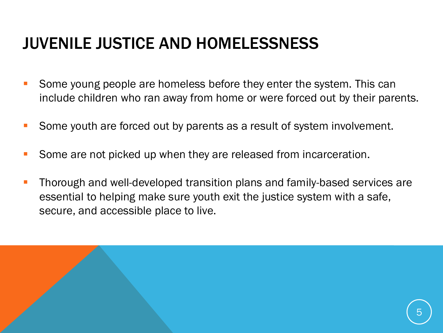### JUVENILE JUSTICE AND HOMELESSNESS

 $\overline{a}$ 

- Some young people are homeless before they enter the system. This can include children who ran away from home or were forced out by their parents.
- Some youth are forced out by parents as a result of system involvement.
- Some are not picked up when they are released from incarceration.
- Thorough and well-developed transition plans and family-based services are essential to helping make sure youth exit the justice system with a safe, secure, and accessible place to live.

5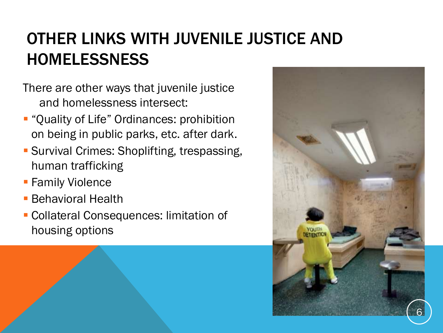### OTHER LINKS WITH JUVENILE JUSTICE AND **HOMELESSNESS**

- There are other ways that juvenile justice and homelessness intersect:
- **-** "Quality of Life" Ordinances: prohibition on being in public parks, etc. after dark.
- **Survival Crimes: Shoplifting, trespassing,** human trafficking
- **Family Violence**

i

- **Behavioral Health**
- Collateral Consequences: limitation of housing options

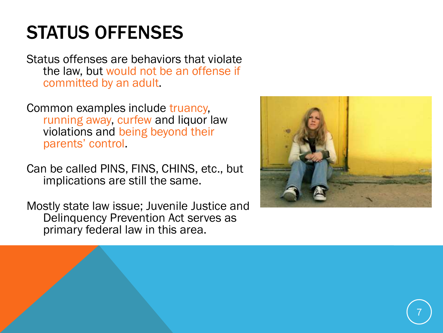### STATUS OFFENSES

Status offenses are behaviors that violate the law, but would not be an offense if committed by an adult.

Common examples include truancy, running away, curfew and liquor law violations and being beyond their parents' control.

Can be called PINS, FINS, CHINS, etc., but implications are still the same.

Mostly state law issue; Juvenile Justice and Delinquency Prevention Act serves as primary federal law in this area.

i

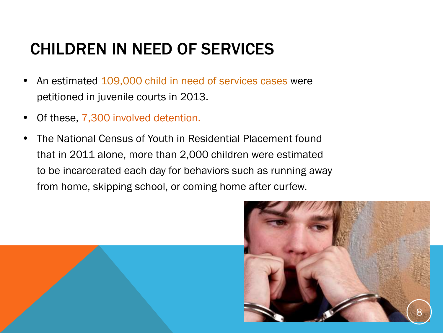### CHILDREN IN NEED OF SERVICES

- An estimated 109,000 child in need of services cases were petitioned in juvenile courts in 2013.
- Of these, 7,300 involved detention.
- The National Census of Youth in Residential Placement found that in 2011 alone, more than 2,000 children were estimated to be incarcerated each day for behaviors such as running away from home, skipping school, or coming home after curfew.

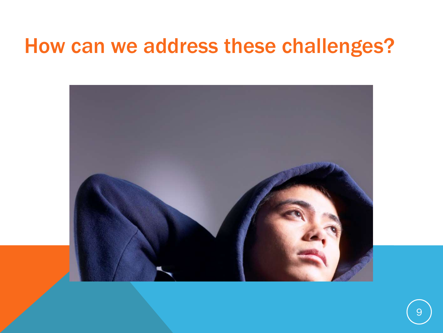### How can we address these challenges?

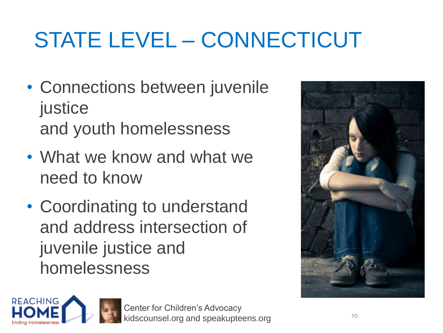# STATE LEVEL – CONNECTICUT

- Connections between juvenile justice and youth homelessness
- What we know and what we need to know
- Coordinating to understand and address intersection of juvenile justice and homelessness



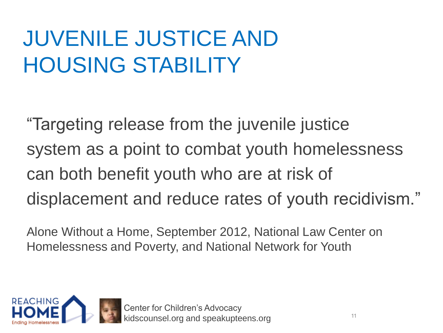### JUVENILE JUSTICE AND HOUSING STABILITY

"Targeting release from the juvenile justice system as a point to combat youth homelessness can both benefit youth who are at risk of displacement and reduce rates of youth recidivism."

Alone Without a Home, September 2012, National Law Center on Homelessness and Poverty, and National Network for Youth

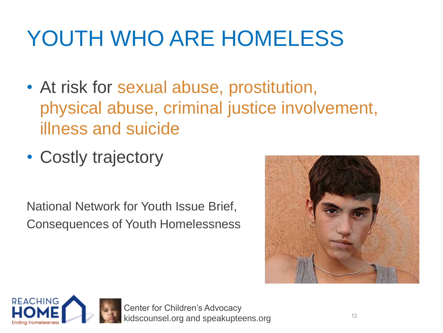# YOUTH WHO ARE HOMELESS

- At risk for sexual abuse, prostitution, physical abuse, criminal justice involvement, illness and suicide
- Costly trajectory

National Network for Youth Issue Brief, Consequences of Youth Homelessness



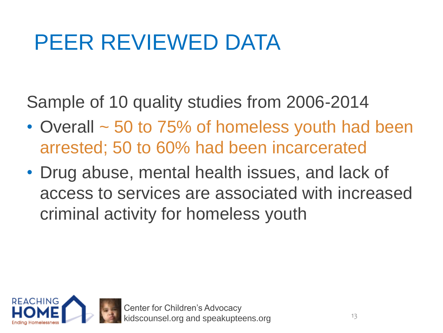### PEER REVIEWED DATA

Sample of 10 quality studies from 2006-2014

- Overall ~ 50 to 75% of homeless youth had been arrested; 50 to 60% had been incarcerated
- Drug abuse, mental health issues, and lack of access to services are associated with increased criminal activity for homeless youth

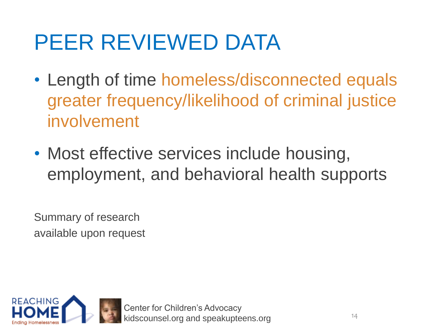### PEER REVIEWED DATA

- Length of time homeless/disconnected equals greater frequency/likelihood of criminal justice involvement
- Most effective services include housing, employment, and behavioral health supports

Summary of research available upon request

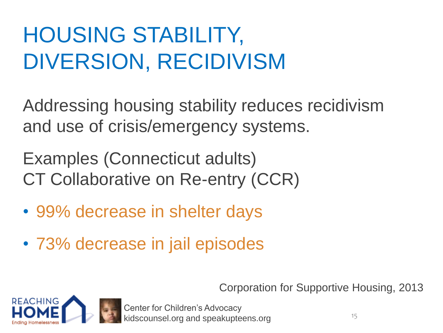## HOUSING STABILITY, DIVERSION, RECIDIVISM

Addressing housing stability reduces recidivism and use of crisis/emergency systems.

Examples (Connecticut adults) CT Collaborative on Re-entry (CCR)

- 99% decrease in shelter days
- 73% decrease in jail episodes

Corporation for Supportive Housing, 2013

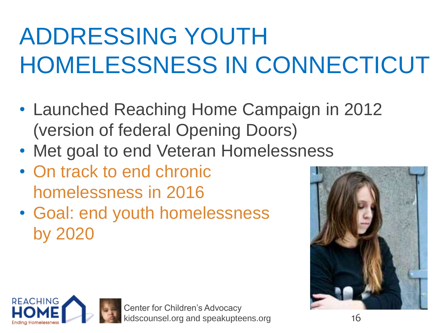# ADDRESSING YOUTH HOMELESSNESS IN CONNECTICUT

- Launched Reaching Home Campaign in 2012 (version of federal Opening Doors)
- Met goal to end Veteran Homelessness
- On track to end chronic homelessness in 2016
- Goal: end youth homelessness by 2020



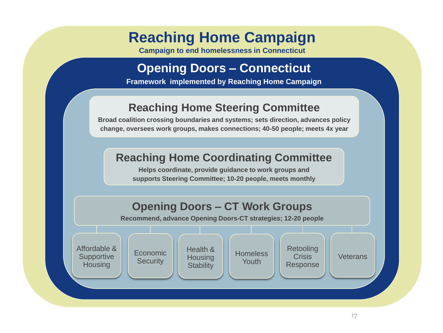### **Reaching Home Campaign**

**Campaign to end homelessness in Connecticut**

#### **Opening Doors – Connecticut**

**Framework implemented by Reaching Home Campaign**

#### **Reaching Home Steering Committee**

**Broad coalition crossing boundaries and systems; sets direction, advances policy change, oversees work groups, makes connections; 40-50 people; meets 4x year**

#### **Reaching Home Coordinating Committee**

**Helps coordinate, provide guidance to work groups and supports Steering Committee; 10-20 people, meets monthly**

#### **Opening Doors – CT Work Groups**

**Recommend, advance Opening Doors-CT strategies; 12-20 people**

Affordable & **Supportive Housing** 



Health & **Housing Stability** 



Retooling Crisis Response

**Veterans**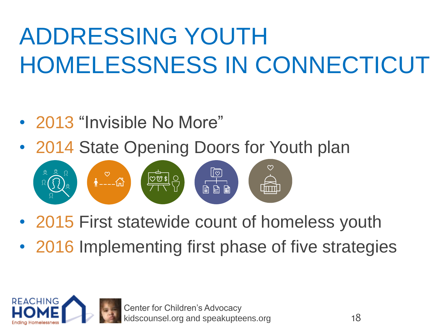# ADDRESSING YOUTH HOMELESSNESS IN CONNECTICUT

- 2013 "Invisible No More"
- 2014 State Opening Doors for Youth plan



- 2015 First statewide count of homeless youth
- 2016 Implementing first phase of five strategies

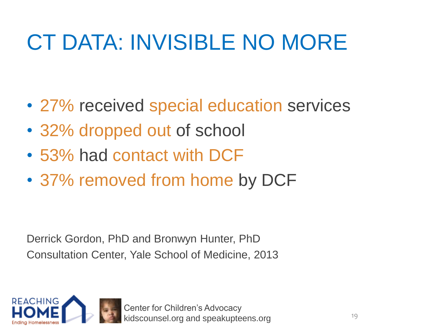## CT DATA: INVISIBLE NO MORE

- 27% received special education services
- 32% dropped out of school
- 53% had contact with DCF
- 37% removed from home by DCF

Derrick Gordon, PhD and Bronwyn Hunter, PhD Consultation Center, Yale School of Medicine, 2013

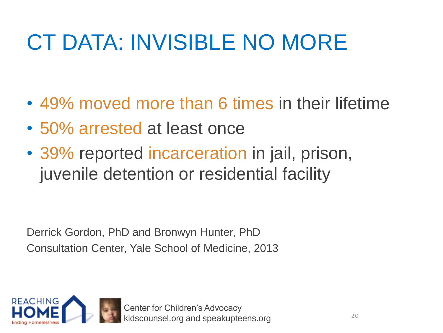## CT DATA: INVISIBLE NO MORE

- 49% moved more than 6 times in their lifetime
- 50% arrested at least once
- 39% reported incarceration in jail, prison, juvenile detention or residential facility

Derrick Gordon, PhD and Bronwyn Hunter, PhD Consultation Center, Yale School of Medicine, 2013

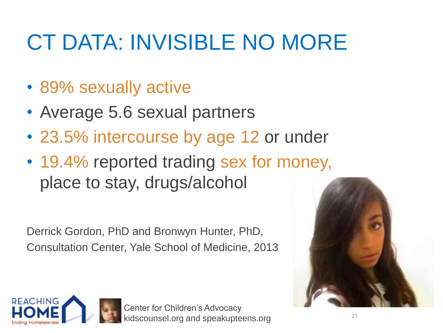## CT DATA: INVISIBLE NO MORE

- 89% sexually active
- Average 5.6 sexual partners
- 23.5% intercourse by age 12 or under
- 19.4% reported trading sex for money, place to stay, drugs/alcohol

Derrick Gordon, PhD and Bronwyn Hunter, PhD, Consultation Center, Yale School of Medicine, 2013



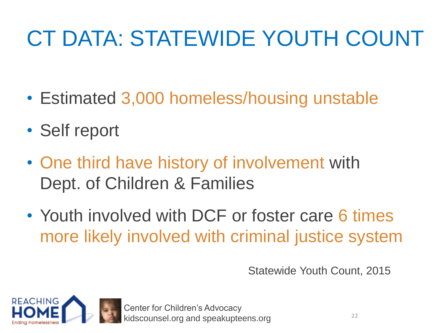# CT DATA: STATEWIDE YOUTH COUNT

- Estimated 3,000 homeless/housing unstable
- Self report
- One third have history of involvement with Dept. of Children & Families
- Youth involved with DCF or foster care 6 times more likely involved with criminal justice system

Statewide Youth Count, 2015

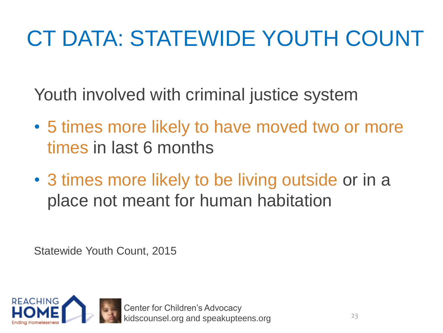# CT DATA: STATEWIDE YOUTH COUNT

Youth involved with criminal justice system

- 5 times more likely to have moved two or more times in last 6 months
- 3 times more likely to be living outside or in a place not meant for human habitation

Statewide Youth Count, 2015

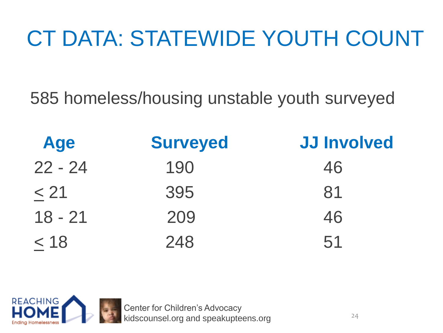# CT DATA: STATEWIDE YOUTH COUNT

585 homeless/housing unstable youth surveyed

| <b>Age</b> | <b>Surveyed</b> | <b>JJ Involved</b> |
|------------|-----------------|--------------------|
| $22 - 24$  | 190             | 46                 |
| < 21       | 395             | 81                 |
| $18 - 21$  | 209             | 46                 |
| $<$ 18     | 248             | 51                 |

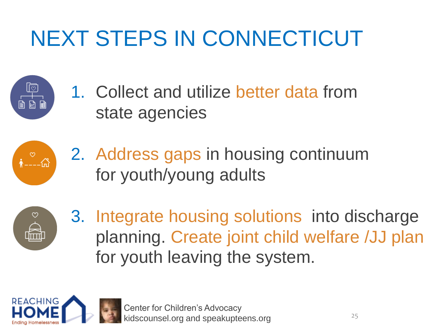## NEXT STEPS IN CONNECTICUT

1. Collect and utilize better data from state agencies



2. Address gaps in housing continuum for youth/young adults



3. Integrate housing solutions into discharge planning. Create joint child welfare /JJ plan for youth leaving the system.

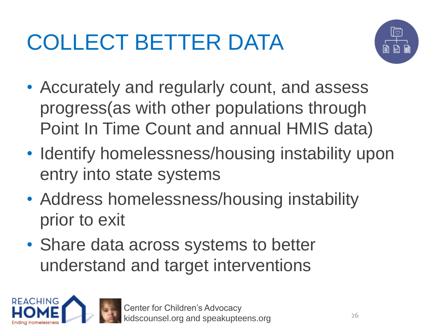# COLLECT BETTER DATA



- Accurately and regularly count, and assess progress(as with other populations through Point In Time Count and annual HMIS data)
- Identify homelessness/housing instability upon entry into state systems
- Address homelessness/housing instability prior to exit
- Share data across systems to better understand and target interventions

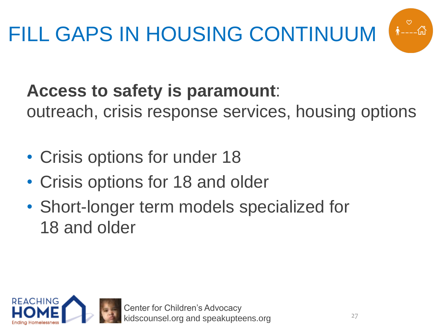

### **Access to safety is paramount**:

outreach, crisis response services, housing options

- Crisis options for under 18
- Crisis options for 18 and older
- Short-longer term models specialized for 18 and older

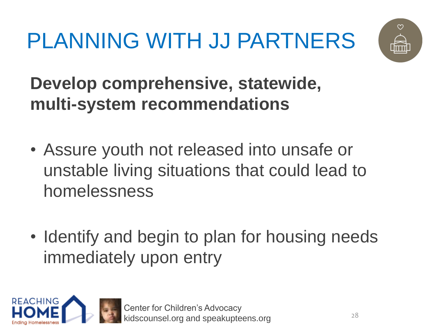PLANNING WITH JJ PARTNERS



**Develop comprehensive, statewide, multi-system recommendations**

- Assure youth not released into unsafe or unstable living situations that could lead to homelessness
- Identify and begin to plan for housing needs immediately upon entry

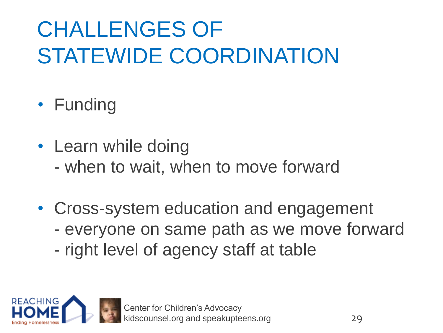# CHALLENGES OF STATEWIDE COORDINATION

- Funding
- Learn while doing
	- when to wait, when to move forward
- Cross-system education and engagement
	- everyone on same path as we move forward
	- right level of agency staff at table

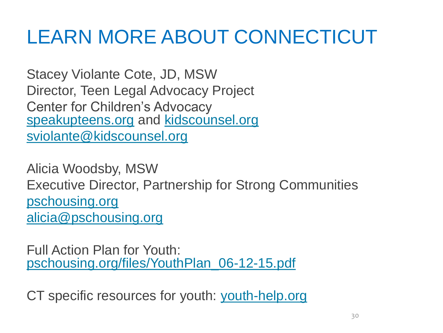### LEARN MORE ABOUT CONNECTICUT

Stacey Violante Cote, JD, MSW Director, Teen Legal Advocacy Project Center for Children's Advocacy [speakupteens.org](http://www.speakupteens.org/) and [kidscounsel.org](http://www.kidscounsel.org/)  [sviolante@kidscounsel.org](mailto:sviolante@kidscounsel.org)

Alicia Woodsby, MSW Executive Director, Partnership for Strong Communities [pschousing.org](http://www.pschousing.org/) [alicia@pschousing.org](mailto:alicia@pschousing.org)

Full Action Plan for Youth: [pschousing.org/files/YouthPlan\\_06-12-15.pdf](http://www.pschousing.org/files/YouthPlan_06-12-15.pdf)

CT specific resources for youth: [youth-help.org](http://www.youth-help.org/)